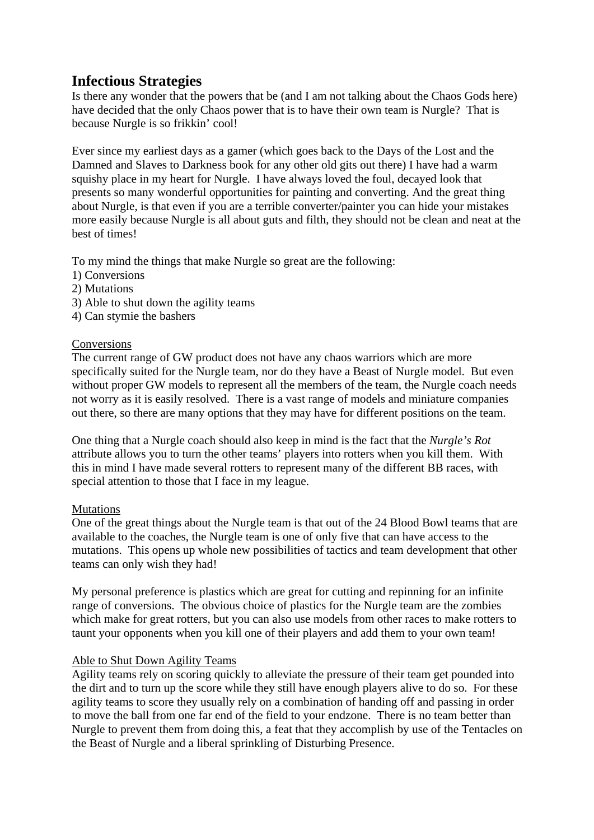# **Infectious Strategies**

Is there any wonder that the powers that be (and I am not talking about the Chaos Gods here) have decided that the only Chaos power that is to have their own team is Nurgle? That is because Nurgle is so frikkin' cool!

Ever since my earliest days as a gamer (which goes back to the Days of the Lost and the Damned and Slaves to Darkness book for any other old gits out there) I have had a warm squishy place in my heart for Nurgle. I have always loved the foul, decayed look that presents so many wonderful opportunities for painting and converting. And the great thing about Nurgle, is that even if you are a terrible converter/painter you can hide your mistakes more easily because Nurgle is all about guts and filth, they should not be clean and neat at the best of times!

To my mind the things that make Nurgle so great are the following:

- 1) Conversions
- 2) Mutations
- 3) Able to shut down the agility teams
- 4) Can stymie the bashers

#### Conversions

The current range of GW product does not have any chaos warriors which are more specifically suited for the Nurgle team, nor do they have a Beast of Nurgle model. But even without proper GW models to represent all the members of the team, the Nurgle coach needs not worry as it is easily resolved. There is a vast range of models and miniature companies out there, so there are many options that they may have for different positions on the team.

One thing that a Nurgle coach should also keep in mind is the fact that the *Nurgle's Rot*  attribute allows you to turn the other teams' players into rotters when you kill them. With this in mind I have made several rotters to represent many of the different BB races, with special attention to those that I face in my league.

### Mutations

One of the great things about the Nurgle team is that out of the 24 Blood Bowl teams that are available to the coaches, the Nurgle team is one of only five that can have access to the mutations. This opens up whole new possibilities of tactics and team development that other teams can only wish they had!

My personal preference is plastics which are great for cutting and repinning for an infinite range of conversions. The obvious choice of plastics for the Nurgle team are the zombies which make for great rotters, but you can also use models from other races to make rotters to taunt your opponents when you kill one of their players and add them to your own team!

### Able to Shut Down Agility Teams

Agility teams rely on scoring quickly to alleviate the pressure of their team get pounded into the dirt and to turn up the score while they still have enough players alive to do so. For these agility teams to score they usually rely on a combination of handing off and passing in order to move the ball from one far end of the field to your endzone. There is no team better than Nurgle to prevent them from doing this, a feat that they accomplish by use of the Tentacles on the Beast of Nurgle and a liberal sprinkling of Disturbing Presence.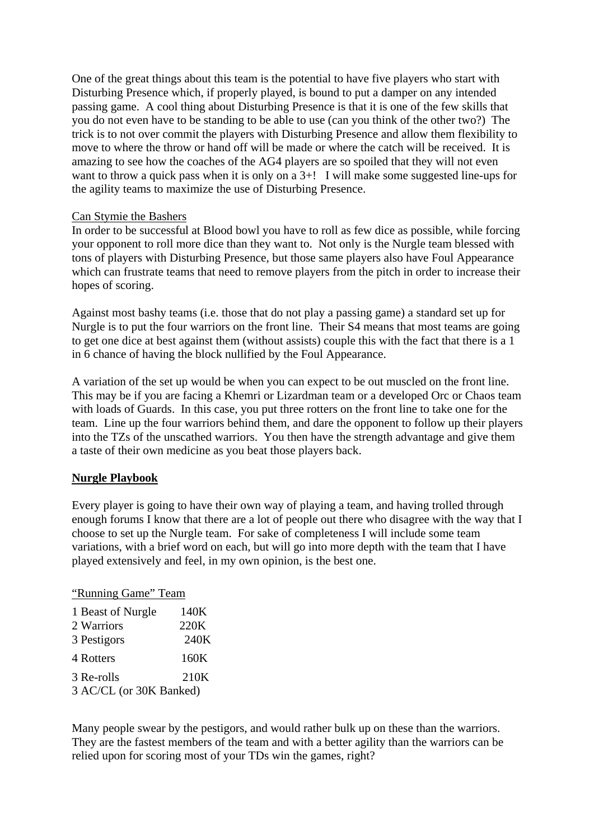One of the great things about this team is the potential to have five players who start with Disturbing Presence which, if properly played, is bound to put a damper on any intended passing game. A cool thing about Disturbing Presence is that it is one of the few skills that you do not even have to be standing to be able to use (can you think of the other two?) The trick is to not over commit the players with Disturbing Presence and allow them flexibility to move to where the throw or hand off will be made or where the catch will be received. It is amazing to see how the coaches of the AG4 players are so spoiled that they will not even want to throw a quick pass when it is only on a 3+! I will make some suggested line-ups for the agility teams to maximize the use of Disturbing Presence.

### Can Stymie the Bashers

In order to be successful at Blood bowl you have to roll as few dice as possible, while forcing your opponent to roll more dice than they want to. Not only is the Nurgle team blessed with tons of players with Disturbing Presence, but those same players also have Foul Appearance which can frustrate teams that need to remove players from the pitch in order to increase their hopes of scoring.

Against most bashy teams (i.e. those that do not play a passing game) a standard set up for Nurgle is to put the four warriors on the front line. Their S4 means that most teams are going to get one dice at best against them (without assists) couple this with the fact that there is a 1 in 6 chance of having the block nullified by the Foul Appearance.

A variation of the set up would be when you can expect to be out muscled on the front line. This may be if you are facing a Khemri or Lizardman team or a developed Orc or Chaos team with loads of Guards. In this case, you put three rotters on the front line to take one for the team. Line up the four warriors behind them, and dare the opponent to follow up their players into the TZs of the unscathed warriors. You then have the strength advantage and give them a taste of their own medicine as you beat those players back.

## **Nurgle Playbook**

Every player is going to have their own way of playing a team, and having trolled through enough forums I know that there are a lot of people out there who disagree with the way that I choose to set up the Nurgle team. For sake of completeness I will include some team variations, with a brief word on each, but will go into more depth with the team that I have played extensively and feel, in my own opinion, is the best one.

### "Running Game" Team

| 1 Beast of Nurgle       | 140K |  |
|-------------------------|------|--|
| 2 Warriors              | 220K |  |
| 3 Pestigors             | 240K |  |
| 4 Rotters               | 160K |  |
| 3 Re-rolls              | 210K |  |
| 3 AC/CL (or 30K Banked) |      |  |

Many people swear by the pestigors, and would rather bulk up on these than the warriors. They are the fastest members of the team and with a better agility than the warriors can be relied upon for scoring most of your TDs win the games, right?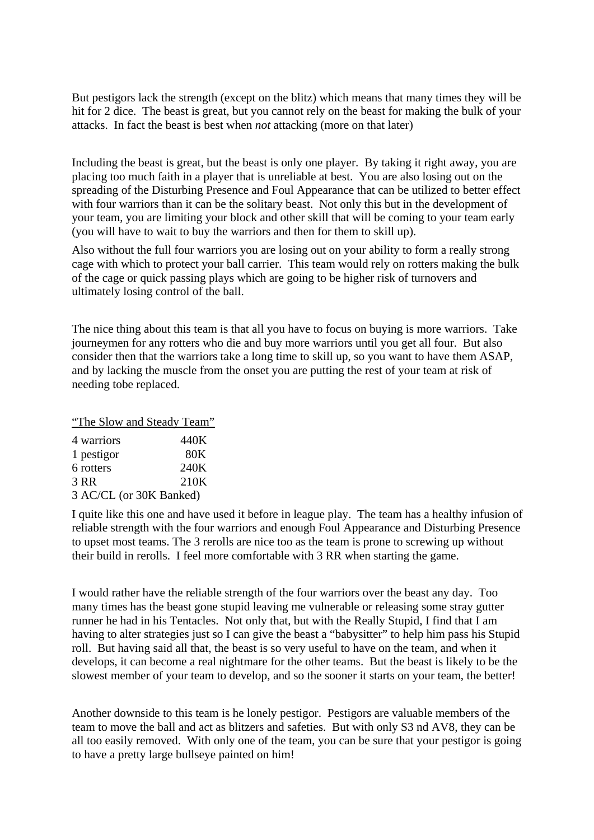But pestigors lack the strength (except on the blitz) which means that many times they will be hit for 2 dice. The beast is great, but you cannot rely on the beast for making the bulk of your attacks. In fact the beast is best when *not* attacking (more on that later)

Including the beast is great, but the beast is only one player. By taking it right away, you are placing too much faith in a player that is unreliable at best. You are also losing out on the spreading of the Disturbing Presence and Foul Appearance that can be utilized to better effect with four warriors than it can be the solitary beast. Not only this but in the development of your team, you are limiting your block and other skill that will be coming to your team early (you will have to wait to buy the warriors and then for them to skill up).

Also without the full four warriors you are losing out on your ability to form a really strong cage with which to protect your ball carrier. This team would rely on rotters making the bulk of the cage or quick passing plays which are going to be higher risk of turnovers and ultimately losing control of the ball.

The nice thing about this team is that all you have to focus on buying is more warriors. Take journeymen for any rotters who die and buy more warriors until you get all four. But also consider then that the warriors take a long time to skill up, so you want to have them ASAP, and by lacking the muscle from the onset you are putting the rest of your team at risk of needing tobe replaced.

"The Slow and Steady Team" 4 warriors 440K 1 pestigor 80K 6 rotters 240K 3 RR 210K 3 AC/CL (or 30K Banked)

I quite like this one and have used it before in league play. The team has a healthy infusion of reliable strength with the four warriors and enough Foul Appearance and Disturbing Presence to upset most teams. The 3 rerolls are nice too as the team is prone to screwing up without their build in rerolls. I feel more comfortable with 3 RR when starting the game.

I would rather have the reliable strength of the four warriors over the beast any day. Too many times has the beast gone stupid leaving me vulnerable or releasing some stray gutter runner he had in his Tentacles. Not only that, but with the Really Stupid, I find that I am having to alter strategies just so I can give the beast a "babysitter" to help him pass his Stupid roll. But having said all that, the beast is so very useful to have on the team, and when it develops, it can become a real nightmare for the other teams. But the beast is likely to be the slowest member of your team to develop, and so the sooner it starts on your team, the better!

Another downside to this team is he lonely pestigor. Pestigors are valuable members of the team to move the ball and act as blitzers and safeties. But with only S3 nd AV8, they can be all too easily removed. With only one of the team, you can be sure that your pestigor is going to have a pretty large bullseye painted on him!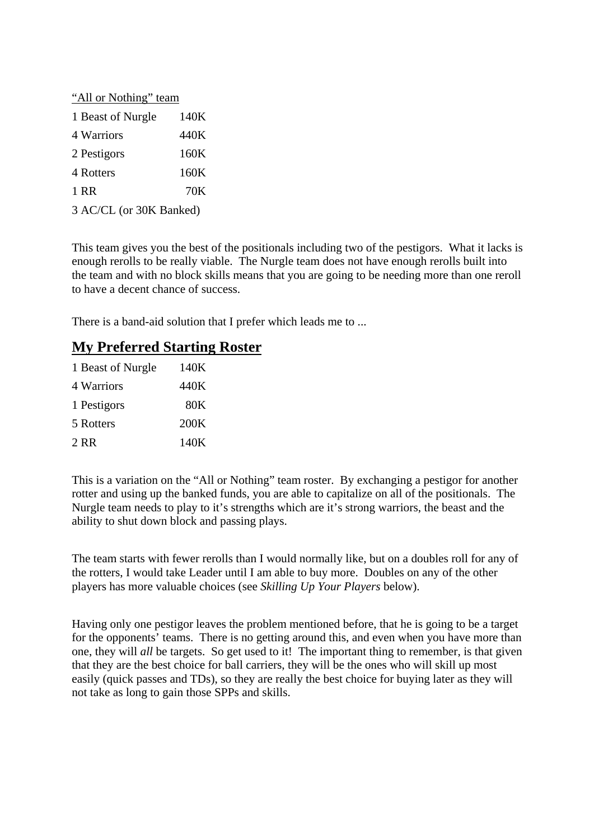| "All or Nothing" team   |      |  |
|-------------------------|------|--|
| 1 Beast of Nurgle       | 140K |  |
| 4 Warriors              | 440K |  |
| 2 Pestigors             | 160K |  |
| 4 Rotters               | 160K |  |
| 1 RR                    | 70K  |  |
| 3 AC/CL (or 30K Banked) |      |  |

This team gives you the best of the positionals including two of the pestigors. What it lacks is enough rerolls to be really viable. The Nurgle team does not have enough rerolls built into the team and with no block skills means that you are going to be needing more than one reroll to have a decent chance of success.

There is a band-aid solution that I prefer which leads me to ...

# **My Preferred Starting Roster**

| 1 Beast of Nurgle | 140K |
|-------------------|------|
| 4 Warriors        | 440K |
| 1 Pestigors       | 80K  |
| 5 Rotters         | 200K |
| 2 RR              | 140K |

This is a variation on the "All or Nothing" team roster. By exchanging a pestigor for another rotter and using up the banked funds, you are able to capitalize on all of the positionals. The Nurgle team needs to play to it's strengths which are it's strong warriors, the beast and the ability to shut down block and passing plays.

The team starts with fewer rerolls than I would normally like, but on a doubles roll for any of the rotters, I would take Leader until I am able to buy more. Doubles on any of the other players has more valuable choices (see *Skilling Up Your Players* below).

Having only one pestigor leaves the problem mentioned before, that he is going to be a target for the opponents' teams. There is no getting around this, and even when you have more than one, they will *all* be targets. So get used to it! The important thing to remember, is that given that they are the best choice for ball carriers, they will be the ones who will skill up most easily (quick passes and TDs), so they are really the best choice for buying later as they will not take as long to gain those SPPs and skills.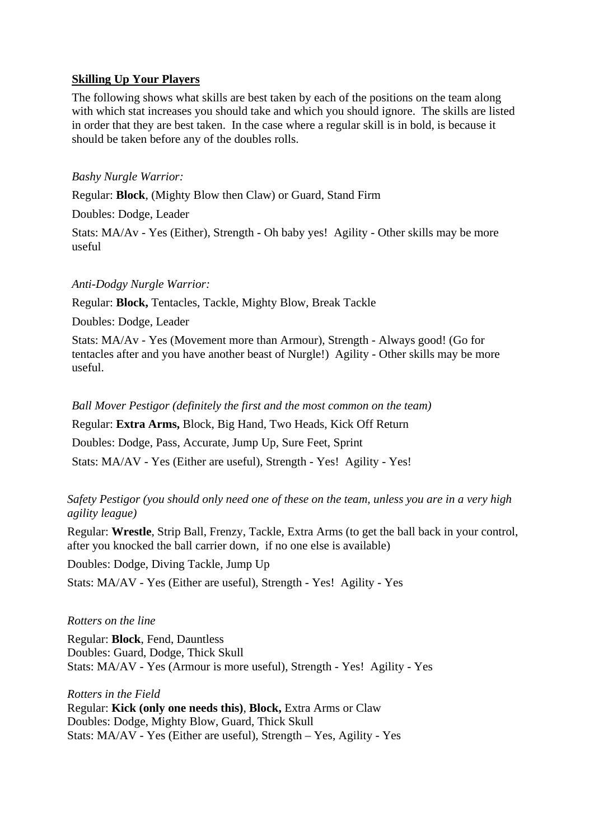### **Skilling Up Your Players**

The following shows what skills are best taken by each of the positions on the team along with which stat increases you should take and which you should ignore. The skills are listed in order that they are best taken. In the case where a regular skill is in bold, is because it should be taken before any of the doubles rolls.

### *Bashy Nurgle Warrior:*

Regular: **Block**, (Mighty Blow then Claw) or Guard, Stand Firm

Doubles: Dodge, Leader

Stats: MA/Av - Yes (Either), Strength - Oh baby yes! Agility - Other skills may be more useful

### *Anti-Dodgy Nurgle Warrior:*

Regular: **Block,** Tentacles, Tackle, Mighty Blow, Break Tackle

Doubles: Dodge, Leader

Stats: MA/Av - Yes (Movement more than Armour), Strength - Always good! (Go for tentacles after and you have another beast of Nurgle!) Agility - Other skills may be more useful.

*Ball Mover Pestigor (definitely the first and the most common on the team)*

Regular: **Extra Arms,** Block, Big Hand, Two Heads, Kick Off Return

Doubles: Dodge, Pass, Accurate, Jump Up, Sure Feet, Sprint

Stats: MA/AV - Yes (Either are useful), Strength - Yes! Agility - Yes!

## *Safety Pestigor (you should only need one of these on the team, unless you are in a very high agility league)*

Regular: **Wrestle**, Strip Ball, Frenzy, Tackle, Extra Arms (to get the ball back in your control, after you knocked the ball carrier down, if no one else is available)

Doubles: Dodge, Diving Tackle, Jump Up

Stats: MA/AV - Yes (Either are useful), Strength - Yes! Agility - Yes

### *Rotters on the line*

Regular: **Block**, Fend, Dauntless Doubles: Guard, Dodge, Thick Skull Stats: MA/AV - Yes (Armour is more useful), Strength - Yes! Agility - Yes

*Rotters in the Field*

Regular: **Kick (only one needs this)**, **Block,** Extra Arms or Claw Doubles: Dodge, Mighty Blow, Guard, Thick Skull Stats: MA/AV - Yes (Either are useful), Strength – Yes, Agility - Yes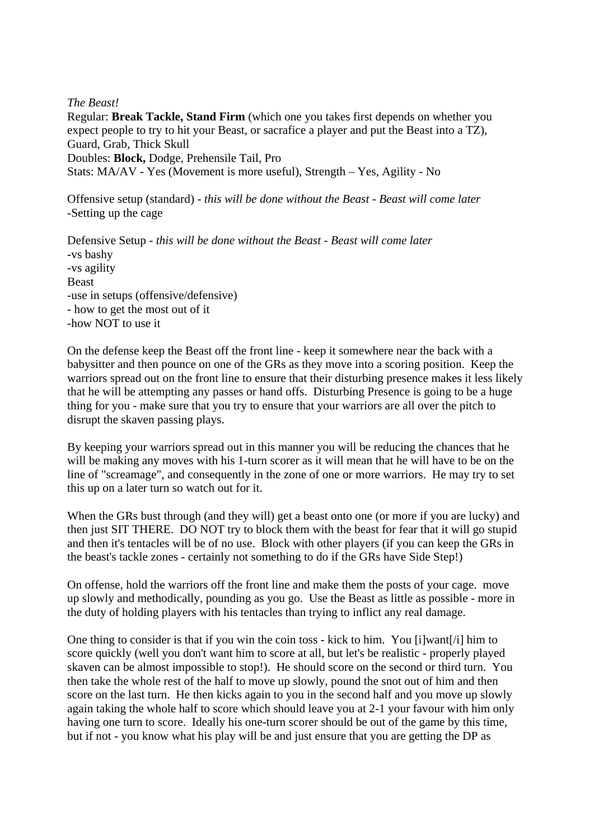### *The Beast!*

Regular: **Break Tackle, Stand Firm** (which one you takes first depends on whether you expect people to try to hit your Beast, or sacrafice a player and put the Beast into a TZ), Guard, Grab, Thick Skull Doubles: **Block,** Dodge, Prehensile Tail, Pro Stats: MA/AV - Yes (Movement is more useful), Strength – Yes, Agility - No

Offensive setup (standard) - *this will be done without the Beast - Beast will come later* -Setting up the cage

Defensive Setup - *this will be done without the Beast - Beast will come later* -vs bashy -vs agility Beast -use in setups (offensive/defensive) - how to get the most out of it -how NOT to use it

On the defense keep the Beast off the front line - keep it somewhere near the back with a babysitter and then pounce on one of the GRs as they move into a scoring position. Keep the warriors spread out on the front line to ensure that their disturbing presence makes it less likely that he will be attempting any passes or hand offs. Disturbing Presence is going to be a huge thing for you - make sure that you try to ensure that your warriors are all over the pitch to disrupt the skaven passing plays.

By keeping your warriors spread out in this manner you will be reducing the chances that he will be making any moves with his 1-turn scorer as it will mean that he will have to be on the line of "screamage", and consequently in the zone of one or more warriors. He may try to set this up on a later turn so watch out for it.

When the GRs bust through (and they will) get a beast onto one (or more if you are lucky) and then just SIT THERE. DO NOT try to block them with the beast for fear that it will go stupid and then it's tentacles will be of no use. Block with other players (if you can keep the GRs in the beast's tackle zones - certainly not something to do if the GRs have Side Step!)

On offense, hold the warriors off the front line and make them the posts of your cage. move up slowly and methodically, pounding as you go. Use the Beast as little as possible - more in the duty of holding players with his tentacles than trying to inflict any real damage.

One thing to consider is that if you win the coin toss - kick to him. You [i]want[/i] him to score quickly (well you don't want him to score at all, but let's be realistic - properly played skaven can be almost impossible to stop!). He should score on the second or third turn. You then take the whole rest of the half to move up slowly, pound the snot out of him and then score on the last turn. He then kicks again to you in the second half and you move up slowly again taking the whole half to score which should leave you at 2-1 your favour with him only having one turn to score. Ideally his one-turn scorer should be out of the game by this time, but if not - you know what his play will be and just ensure that you are getting the DP as